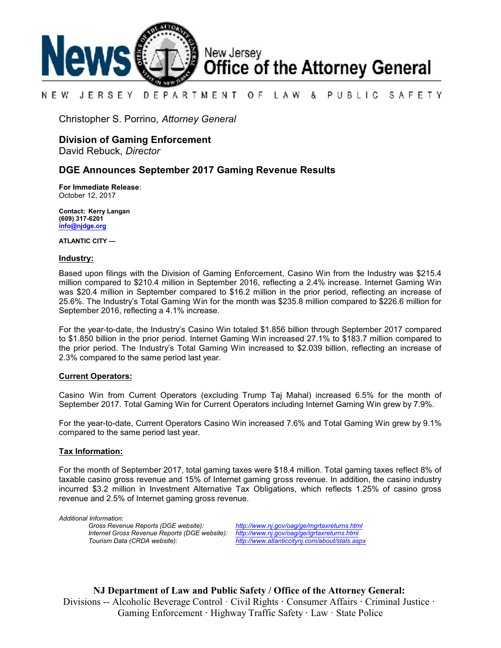

#### NEW JERSEY DEPARTMENT OF. LAW & PUBLIC SAFETY

Christopher S. Porrino, *Attorney General*

# **Division of Gaming Enforcement**

David Rebuck, *Director*

## **DGE Announces September 2017 Gaming Revenue Results**

**For Immediate Release**: October 12, 2017

**Contact: Kerry Langan (609) 317-6201 [info@njdge.org](file:///|//info@njdge.org)**

**ATLANTIC CITY —**

#### **Industry:**

Based upon filings with the Division of Gaming Enforcement, Casino Win from the Industry was \$215.4 million compared to \$210.4 million in September 2016, reflecting a 2.4% increase. Internet Gaming Win was \$20.4 million in September compared to \$16.2 million in the prior period, reflecting an increase of 25.6%. The Industry's Total Gaming Win for the month was \$235.8 million compared to \$226.6 million for September 2016, reflecting a 4.1% increase.

For the year-to-date, the Industry's Casino Win totaled \$1.856 billion through September 2017 compared to \$1.850 billion in the prior period. Internet Gaming Win increased 27.1% to \$183.7 million compared to the prior period. The Industry's Total Gaming Win increased to \$2.039 billion, reflecting an increase of 2.3% compared to the same period last year.

### **Current Operators:**

Casino Win from Current Operators (excluding Trump Taj Mahal) increased 6.5% for the month of September 2017. Total Gaming Win for Current Operators including Internet Gaming Win grew by 7.9%.

For the year-to-date, Current Operators Casino Win increased 7.6% and Total Gaming Win grew by 9.1% compared to the same period last year.

### **Tax Information:**

For the month of September 2017, total gaming taxes were \$18.4 million. Total gaming taxes reflect 8% of taxable casino gross revenue and 15% of Internet gaming gross revenue. In addition, the casino industry incurred \$3.2 million in Investment Alternative Tax Obligations, which reflects 1.25% of casino gross revenue and 2.5% of Internet gaming gross revenue.

*Additional Information: Internet Gross Revenue Reports (DGE website): <http://www.nj.gov/oag/ge/igrtaxreturns.html>*

*Gross Revenue Reports (DGE website): <http://www.nj.gov/oag/ge/mgrtaxreturns.html> Tourism Data (CRDA website): <http://www.atlanticcitynj.com/about/stats.aspx>*

**NJ Department of Law and Public Safety / Office of the Attorney General:** Divisions -- Alcoholic Beverage Control · Civil Rights **·** Consumer Affairs **·** Criminal Justice **·**  Gaming Enforcement **·** Highway Traffic Safety **·** Law · State Police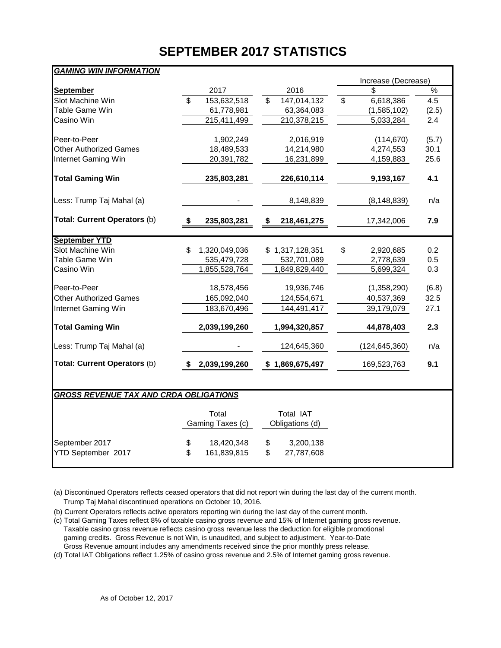# **SEPTEMBER 2017 STATISTICS**

| <b>GAMING WIN INFORMATION</b>                 |                                        |                                     |                                 |       |  |  |  |  |  |  |  |  |
|-----------------------------------------------|----------------------------------------|-------------------------------------|---------------------------------|-------|--|--|--|--|--|--|--|--|
|                                               |                                        |                                     | Increase (Decrease)             |       |  |  |  |  |  |  |  |  |
| <b>September</b>                              | 2017                                   | 2016                                | \$.                             | $\%$  |  |  |  |  |  |  |  |  |
| <b>Slot Machine Win</b>                       | $\overline{\mathbf{s}}$<br>153,632,518 | $\mathbb{S}$<br>147,014,132         | $\mathbf{\hat{z}}$<br>6,618,386 | 4.5   |  |  |  |  |  |  |  |  |
| <b>Table Game Win</b>                         | 61,778,981                             | 63,364,083                          | (1,585,102)                     | (2.5) |  |  |  |  |  |  |  |  |
| Casino Win                                    | 215,411,499                            | 210,378,215                         | 5,033,284                       | 2.4   |  |  |  |  |  |  |  |  |
| Peer-to-Peer                                  | 1,902,249                              | 2,016,919                           | (114, 670)                      | (5.7) |  |  |  |  |  |  |  |  |
| <b>Other Authorized Games</b>                 | 18,489,533                             | 14,214,980                          | 4,274,553                       | 30.1  |  |  |  |  |  |  |  |  |
| Internet Gaming Win                           | 20,391,782                             | 16,231,899                          | 4,159,883                       | 25.6  |  |  |  |  |  |  |  |  |
| <b>Total Gaming Win</b>                       | 235,803,281                            | 226,610,114                         | 9,193,167                       | 4.1   |  |  |  |  |  |  |  |  |
| Less: Trump Taj Mahal (a)                     |                                        | 8,148,839                           | (8, 148, 839)                   | n/a   |  |  |  |  |  |  |  |  |
| <b>Total: Current Operators (b)</b>           | \$<br>235,803,281                      | \$<br>218,461,275                   | 17,342,006                      | 7.9   |  |  |  |  |  |  |  |  |
| <b>September YTD</b>                          |                                        |                                     |                                 |       |  |  |  |  |  |  |  |  |
| Slot Machine Win                              | \$<br>1,320,049,036                    | \$1,317,128,351                     | \$<br>2,920,685                 | 0.2   |  |  |  |  |  |  |  |  |
| Table Game Win                                | 535,479,728                            | 532,701,089                         | 2,778,639                       | 0.5   |  |  |  |  |  |  |  |  |
| Casino Win                                    | 1,855,528,764                          | 1,849,829,440                       | 5,699,324                       | 0.3   |  |  |  |  |  |  |  |  |
| Peer-to-Peer                                  | 18,578,456                             | 19,936,746                          | (1,358,290)                     | (6.8) |  |  |  |  |  |  |  |  |
| <b>Other Authorized Games</b>                 | 165,092,040                            | 124,554,671                         | 40,537,369                      | 32.5  |  |  |  |  |  |  |  |  |
| Internet Gaming Win                           | 183,670,496                            | 144,491,417                         | 39,179,079                      | 27.1  |  |  |  |  |  |  |  |  |
| <b>Total Gaming Win</b>                       | 2,039,199,260                          | 1,994,320,857                       | 44,878,403                      | 2.3   |  |  |  |  |  |  |  |  |
| Less: Trump Taj Mahal (a)                     |                                        | 124,645,360                         | (124, 645, 360)                 | n/a   |  |  |  |  |  |  |  |  |
| Total: Current Operators (b)                  | 2,039,199,260<br>S                     | \$1,869,675,497                     | 169,523,763                     | 9.1   |  |  |  |  |  |  |  |  |
|                                               |                                        |                                     |                                 |       |  |  |  |  |  |  |  |  |
| <b>GROSS REVENUE TAX AND CRDA OBLIGATIONS</b> |                                        |                                     |                                 |       |  |  |  |  |  |  |  |  |
|                                               | Total<br>Gaming Taxes (c)              | Total IAT<br>Obligations (d)        |                                 |       |  |  |  |  |  |  |  |  |
| September 2017<br>YTD September 2017          | 18,420,348<br>\$<br>\$<br>161,839,815  | \$<br>3,200,138<br>\$<br>27,787,608 |                                 |       |  |  |  |  |  |  |  |  |

(a) Discontinued Operators reflects ceased operators that did not report win during the last day of the current month. Trump Taj Mahal discontinued operations on October 10, 2016.

(b) Current Operators reflects active operators reporting win during the last day of the current month.

(c) Total Gaming Taxes reflect 8% of taxable casino gross revenue and 15% of Internet gaming gross revenue. Taxable casino gross revenue reflects casino gross revenue less the deduction for eligible promotional gaming credits. Gross Revenue is not Win, is unaudited, and subject to adjustment. Year-to-Date Gross Revenue amount includes any amendments received since the prior monthly press release.

(d) Total IAT Obligations reflect 1.25% of casino gross revenue and 2.5% of Internet gaming gross revenue.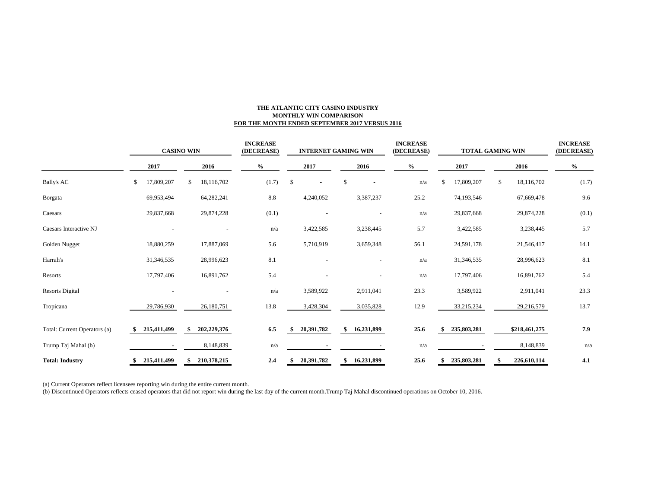#### **THE ATLANTIC CITY CASINO INDUSTRY MONTHLY WIN COMPARISON FOR THE MONTH ENDED SEPTEMBER 2017 VERSUS 2016**

|                              | <b>CASINO WIN</b> |             |              |             | <b>INCREASE</b><br>(DECREASE) |       |      | <b>INTERNET GAMING WIN</b> |      |              | <b>INCREASE</b><br>(DECREASE) |      | <b>TOTAL GAMING WIN</b> | <b>INCREASE</b><br>(DECREASE) |      |               |       |  |
|------------------------------|-------------------|-------------|--------------|-------------|-------------------------------|-------|------|----------------------------|------|--------------|-------------------------------|------|-------------------------|-------------------------------|------|---------------|-------|--|
|                              | 2017              |             | 2016         |             | $\%$                          |       | 2017 |                            | 2016 |              | $\%$                          |      | 2017                    |                               | 2016 |               | $\%$  |  |
| <b>Bally's AC</b>            | \$                | 17,809,207  | <sup>S</sup> | 18,116,702  |                               | (1.7) | - \$ |                            | \$   |              |                               | n/a  | \$.                     | 17,809,207                    | \$   | 18,116,702    | (1.7) |  |
| Borgata                      |                   | 69,953,494  |              | 64,282,241  |                               | 8.8   |      | 4,240,052                  |      | 3,387,237    |                               | 25.2 |                         | 74,193,546                    |      | 67,669,478    | 9.6   |  |
| Caesars                      |                   | 29,837,668  |              | 29,874,228  |                               | (0.1) |      |                            |      |              |                               | n/a  |                         | 29,837,668                    |      | 29,874,228    | (0.1) |  |
| Caesars Interactive NJ       |                   |             |              |             |                               | n/a   |      | 3,422,585                  |      | 3,238,445    |                               | 5.7  |                         | 3,422,585                     |      | 3,238,445     | 5.7   |  |
| Golden Nugget                |                   | 18,880,259  |              | 17,887,069  |                               | 5.6   |      | 5,710,919                  |      | 3,659,348    |                               | 56.1 |                         | 24,591,178                    |      | 21,546,417    | 14.1  |  |
| Harrah's                     |                   | 31,346,535  |              | 28,996,623  |                               | 8.1   |      |                            |      |              |                               | n/a  |                         | 31,346,535                    |      | 28,996,623    | 8.1   |  |
| Resorts                      |                   | 17,797,406  |              | 16,891,762  |                               | 5.4   |      |                            |      |              |                               | n/a  |                         | 17,797,406                    |      | 16,891,762    | 5.4   |  |
| <b>Resorts Digital</b>       |                   |             |              |             |                               | n/a   |      | 3,589,922                  |      | 2,911,041    |                               | 23.3 |                         | 3,589,922                     |      | 2,911,041     | 23.3  |  |
| Tropicana                    |                   | 29,786,930  |              | 26,180,751  |                               | 13.8  |      | 3,428,304                  |      | 3,035,828    |                               | 12.9 |                         | 33,215,234                    |      | 29,216,579    | 13.7  |  |
| Total: Current Operators (a) |                   | 215,411,499 | \$           | 202,229,376 |                               | 6.5   |      | 20,391,782                 |      | \$16,231,899 |                               | 25.6 |                         | 235,803,281                   |      | \$218,461,275 | 7.9   |  |
| Trump Taj Mahal (b)          |                   |             |              | 8,148,839   |                               | n/a   |      |                            |      |              |                               | n/a  |                         |                               |      | 8,148,839     | n/a   |  |
| <b>Total: Industry</b>       |                   | 215,411,499 |              | 210,378,215 |                               | 2.4   |      | 20,391,782                 | \$   | 16,231,899   |                               | 25.6 |                         | 235,803,281                   |      | 226,610,114   | 4.1   |  |

(a) Current Operators reflect licensees reporting win during the entire current month.

(b) Discontinued Operators reflects ceased operators that did not report win during the last day of the current month.Trump Taj Mahal discontinued operations on October 10, 2016.